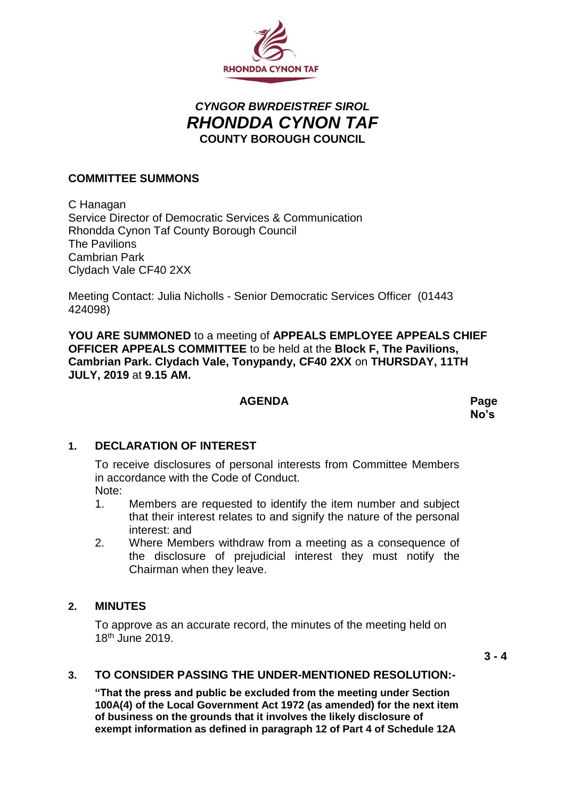

# *CYNGOR BWRDEISTREF SIROL RHONDDA CYNON TAF* **COUNTY BOROUGH COUNCIL**

## **COMMITTEE SUMMONS**

C Hanagan Service Director of Democratic Services & Communication Rhondda Cynon Taf County Borough Council The Pavilions Cambrian Park Clydach Vale CF40 2XX

Meeting Contact: Julia Nicholls - Senior Democratic Services Officer (01443 424098)

**YOU ARE SUMMONED** to a meeting of **APPEALS EMPLOYEE APPEALS CHIEF OFFICER APPEALS COMMITTEE** to be held at the **Block F, The Pavilions, Cambrian Park. Clydach Vale, Tonypandy, CF40 2XX** on **THURSDAY, 11TH JULY, 2019** at **9.15 AM.**

#### **AGENDA Page**

**No's**

#### **1. DECLARATION OF INTEREST**

To receive disclosures of personal interests from Committee Members in accordance with the Code of Conduct. Note:

- 1. Members are requested to identify the item number and subject that their interest relates to and signify the nature of the personal interest: and
- 2. Where Members withdraw from a meeting as a consequence of the disclosure of prejudicial interest they must notify the Chairman when they leave.

#### **2. MINUTES**

To approve as an accurate record, the minutes of the meeting held on 18th June 2019.

 $3 - 4$ 

#### **3. TO CONSIDER PASSING THE UNDER-MENTIONED RESOLUTION:-**

**"That the press and public be excluded from the meeting under Section 100A(4) of the Local Government Act 1972 (as amended) for the next item of business on the grounds that it involves the likely disclosure of exempt information as defined in paragraph 12 of Part 4 of Schedule 12A**